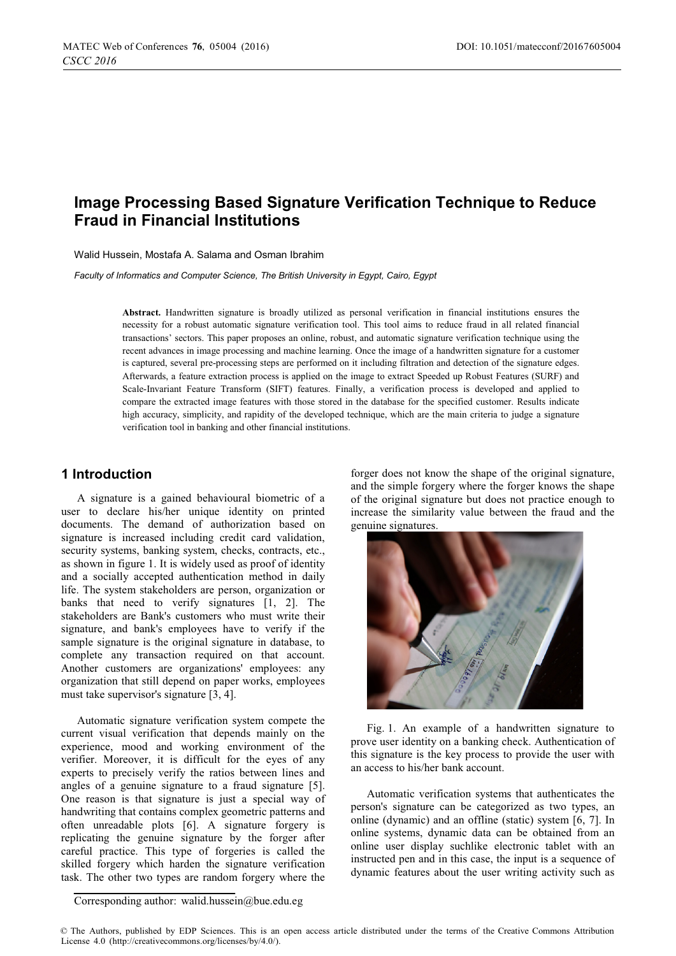# **Image Processing Based Signature Verification Technique to Reduce Fraud in Financial Institutions**

Walid Hussein, Mostafa A. Salama and Osman Ibrahim

*Faculty of Informatics and Computer Science, The British University in Egypt, Cairo, Egypt* 

**Abstract.** Handwritten signature is broadly utilized as personal verification in financial institutions ensures the necessity for a robust automatic signature verification tool. This tool aims to reduce fraud in all related financial transactions' sectors. This paper proposes an online, robust, and automatic signature verification technique using the recent advances in image processing and machine learning. Once the image of a handwritten signature for a customer is captured, several pre-processing steps are performed on it including filtration and detection of the signature edges. Afterwards, a feature extraction process is applied on the image to extract Speeded up Robust Features (SURF) and Scale-Invariant Feature Transform (SIFT) features. Finally, a verification process is developed and applied to compare the extracted image features with those stored in the database for the specified customer. Results indicate high accuracy, simplicity, and rapidity of the developed technique, which are the main criteria to judge a signature verification tool in banking and other financial institutions.

#### **1 Introduction**

A signature is a gained behavioural biometric of a user to declare his/her unique identity on printed documents. The demand of authorization based on signature is increased including credit card validation, security systems, banking system, checks, contracts, etc., as shown in figure 1. It is widely used as proof of identity and a socially accepted authentication method in daily life. The system stakeholders are person, organization or banks that need to verify signatures [1, 2]. The stakeholders are Bank's customers who must write their signature, and bank's employees have to verify if the sample signature is the original signature in database, to complete any transaction required on that account. Another customers are organizations' employees: any organization that still depend on paper works, employees must take supervisor's signature [3, 4].

Automatic signature verification system compete the current visual verification that depends mainly on the experience, mood and working environment of the verifier. Moreover, it is difficult for the eyes of any experts to precisely verify the ratios between lines and angles of a genuine signature to a fraud signature [5]. One reason is that signature is just a special way of handwriting that contains complex geometric patterns and often unreadable plots [6]. A signature forgery is replicating the genuine signature by the forger after careful practice. This type of forgeries is called the skilled forgery which harden the signature verification task. The other two types are random forgery where the

forger does not know the shape of the original signature, and the simple forgery where the forger knows the shape of the original signature but does not practice enough to increase the similarity value between the fraud and the genuine signatures.



Fig. 1. An example of a handwritten signature to prove user identity on a banking check. Authentication of this signature is the key process to provide the user with an access to his/her bank account.

Automatic verification systems that authenticates the person's signature can be categorized as two types, an online (dynamic) and an offline (static) system [6, 7]. In online systems, dynamic data can be obtained from an online user display suchlike electronic tablet with an instructed pen and in this case, the input is a sequence of dynamic features about the user writing activity such as

Corresponding author: walid.hussein@bue.edu.eg

<sup>©</sup> The Authors, published by EDP Sciences. This is an open access article distributed under the terms of the Creative Commons Attribution License 4.0 (http://creativecommons.org/licenses/by/4.0/).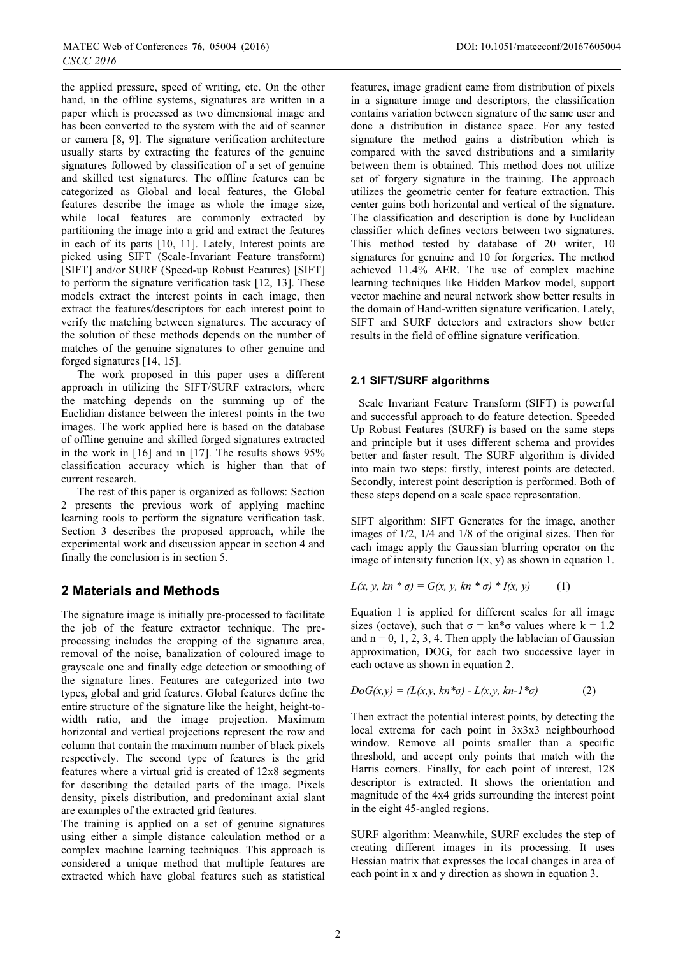the applied pressure, speed of writing, etc. On the other hand, in the offline systems, signatures are written in a paper which is processed as two dimensional image and has been converted to the system with the aid of scanner or camera [8, 9]. The signature verification architecture usually starts by extracting the features of the genuine signatures followed by classification of a set of genuine and skilled test signatures. The offline features can be categorized as Global and local features, the Global features describe the image as whole the image size, while local features are commonly extracted by partitioning the image into a grid and extract the features in each of its parts [10, 11]. Lately, Interest points are picked using SIFT (Scale-Invariant Feature transform) [SIFT] and/or SURF (Speed-up Robust Features) [SIFT] to perform the signature verification task [12, 13]. These models extract the interest points in each image, then extract the features/descriptors for each interest point to verify the matching between signatures. The accuracy of the solution of these methods depends on the number of matches of the genuine signatures to other genuine and forged signatures [14, 15].

The work proposed in this paper uses a different approach in utilizing the SIFT/SURF extractors, where the matching depends on the summing up of the Euclidian distance between the interest points in the two images. The work applied here is based on the database of offline genuine and skilled forged signatures extracted in the work in [16] and in [17]. The results shows 95% classification accuracy which is higher than that of current research.

The rest of this paper is organized as follows: Section 2 presents the previous work of applying machine learning tools to perform the signature verification task. Section 3 describes the proposed approach, while the experimental work and discussion appear in section 4 and finally the conclusion is in section 5.

## **2 Materials and Methods**

The signature image is initially pre-processed to facilitate the job of the feature extractor technique. The preprocessing includes the cropping of the signature area, removal of the noise, banalization of coloured image to grayscale one and finally edge detection or smoothing of the signature lines. Features are categorized into two types, global and grid features. Global features define the entire structure of the signature like the height, height-towidth ratio, and the image projection. Maximum horizontal and vertical projections represent the row and column that contain the maximum number of black pixels respectively. The second type of features is the grid features where a virtual grid is created of 12x8 segments for describing the detailed parts of the image. Pixels density, pixels distribution, and predominant axial slant are examples of the extracted grid features.

The training is applied on a set of genuine signatures using either a simple distance calculation method or a complex machine learning techniques. This approach is considered a unique method that multiple features are extracted which have global features such as statistical

features, image gradient came from distribution of pixels in a signature image and descriptors, the classification contains variation between signature of the same user and done a distribution in distance space. For any tested signature the method gains a distribution which is compared with the saved distributions and a similarity between them is obtained. This method does not utilize set of forgery signature in the training. The approach utilizes the geometric center for feature extraction. This center gains both horizontal and vertical of the signature. The classification and description is done by Euclidean classifier which defines vectors between two signatures. This method tested by database of 20 writer, 10 signatures for genuine and 10 for forgeries. The method achieved 11.4% AER. The use of complex machine learning techniques like Hidden Markov model, support vector machine and neural network show better results in the domain of Hand-written signature verification. Lately, SIFT and SURF detectors and extractors show better results in the field of offline signature verification.

### **2.1 SIFT/SURF algorithms**

Scale Invariant Feature Transform (SIFT) is powerful and successful approach to do feature detection. Speeded Up Robust Features (SURF) is based on the same steps and principle but it uses different schema and provides better and faster result. The SURF algorithm is divided into main two steps: firstly, interest points are detected. Secondly, interest point description is performed. Both of these steps depend on a scale space representation.

SIFT algorithm: SIFT Generates for the image, another images of 1/2, 1/4 and 1/8 of the original sizes. Then for each image apply the Gaussian blurring operator on the image of intensity function  $I(x, y)$  as shown in equation 1.

$$
L(x, y, kn * \sigma) = G(x, y, kn * \sigma) * I(x, y)
$$
 (1)

Equation 1 is applied for different scales for all image sizes (octave), such that  $\sigma = kn*\sigma$  values where  $k = 1.2$ and  $n = 0, 1, 2, 3, 4$ . Then apply the lablacian of Gaussian approximation, DOG, for each two successive layer in each octave as shown in equation 2.

$$
DoG(x, y) = (L(x, y, kn * \sigma) - L(x, y, kn - 1 * \sigma))
$$
 (2)

Then extract the potential interest points, by detecting the local extrema for each point in 3x3x3 neighbourhood window. Remove all points smaller than a specific threshold, and accept only points that match with the Harris corners. Finally, for each point of interest, 128 descriptor is extracted. It shows the orientation and magnitude of the 4x4 grids surrounding the interest point in the eight 45-angled regions.

SURF algorithm: Meanwhile, SURF excludes the step of creating different images in its processing. It uses Hessian matrix that expresses the local changes in area of each point in x and y direction as shown in equation 3.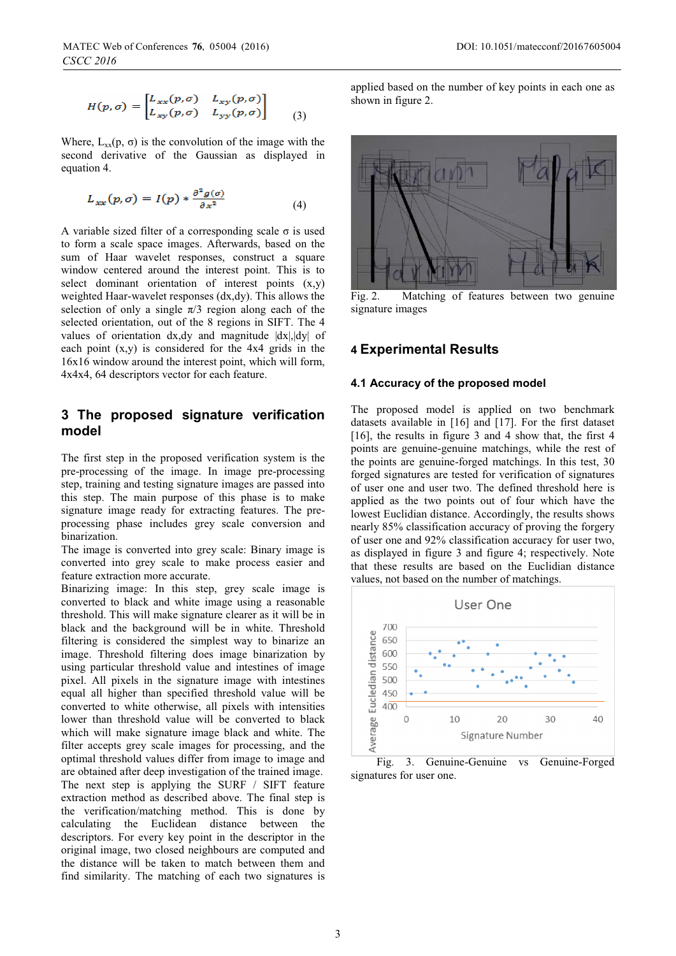$$
H(p,\sigma) = \begin{bmatrix} L_{xx}(p,\sigma) & L_{xy}(p,\sigma) \\ L_{xy}(p,\sigma) & L_{yy}(p,\sigma) \end{bmatrix}
$$
 (3)

Where,  $L_{xx}(p, \sigma)$  is the convolution of the image with the second derivative of the Gaussian as displayed in equation 4.

$$
L_{xx}(p,\sigma) = I(p) * \frac{\partial^2 g(\sigma)}{\partial x^2}
$$
 (4)

A variable sized filter of a corresponding scale  $\sigma$  is used to form a scale space images. Afterwards, based on the sum of Haar wavelet responses, construct a square window centered around the interest point. This is to select dominant orientation of interest points  $(x,y)$ weighted Haar-wavelet responses (dx,dy). This allows the selection of only a single  $\pi/3$  region along each of the selected orientation, out of the 8 regions in SIFT. The 4 values of orientation  $dx, dy$  and magnitude  $|dx|, |dy|$  of each point (x,y) is considered for the 4x4 grids in the 16x16 window around the interest point, which will form, 4x4x4, 64 descriptors vector for each feature.

### **3 The proposed signature verification model**

The first step in the proposed verification system is the pre-processing of the image. In image pre-processing step, training and testing signature images are passed into this step. The main purpose of this phase is to make signature image ready for extracting features. The preprocessing phase includes grey scale conversion and binarization.

The image is converted into grey scale: Binary image is converted into grey scale to make process easier and feature extraction more accurate.

Binarizing image: In this step, grey scale image is converted to black and white image using a reasonable threshold. This will make signature clearer as it will be in black and the background will be in white. Threshold filtering is considered the simplest way to binarize an image. Threshold filtering does image binarization by using particular threshold value and intestines of image pixel. All pixels in the signature image with intestines equal all higher than specified threshold value will be converted to white otherwise, all pixels with intensities lower than threshold value will be converted to black which will make signature image black and white. The filter accepts grey scale images for processing, and the optimal threshold values differ from image to image and are obtained after deep investigation of the trained image. The next step is applying the SURF / SIFT feature extraction method as described above. The final step is the verification/matching method. This is done by calculating the Euclidean distance between the descriptors. For every key point in the descriptor in the original image, two closed neighbours are computed and the distance will be taken to match between them and find similarity. The matching of each two signatures is

applied based on the number of key points in each one as shown in figure 2.



Fig. 2. Matching of features between two genuine signature images

#### **4 Experimental Results**

#### **4.1 Accuracy of the proposed model**

The proposed model is applied on two benchmark datasets available in [16] and [17]. For the first dataset [16], the results in figure 3 and 4 show that, the first 4 points are genuine-genuine matchings, while the rest of the points are genuine-forged matchings. In this test, 30 forged signatures are tested for verification of signatures of user one and user two. The defined threshold here is applied as the two points out of four which have the lowest Euclidian distance. Accordingly, the results shows nearly 85% classification accuracy of proving the forgery of user one and 92% classification accuracy for user two, as displayed in figure 3 and figure 4; respectively. Note that these results are based on the Euclidian distance values, not based on the number of matchings.



Fig. 3. Genuine-Genuine vs Genuine-Forged signatures for user one.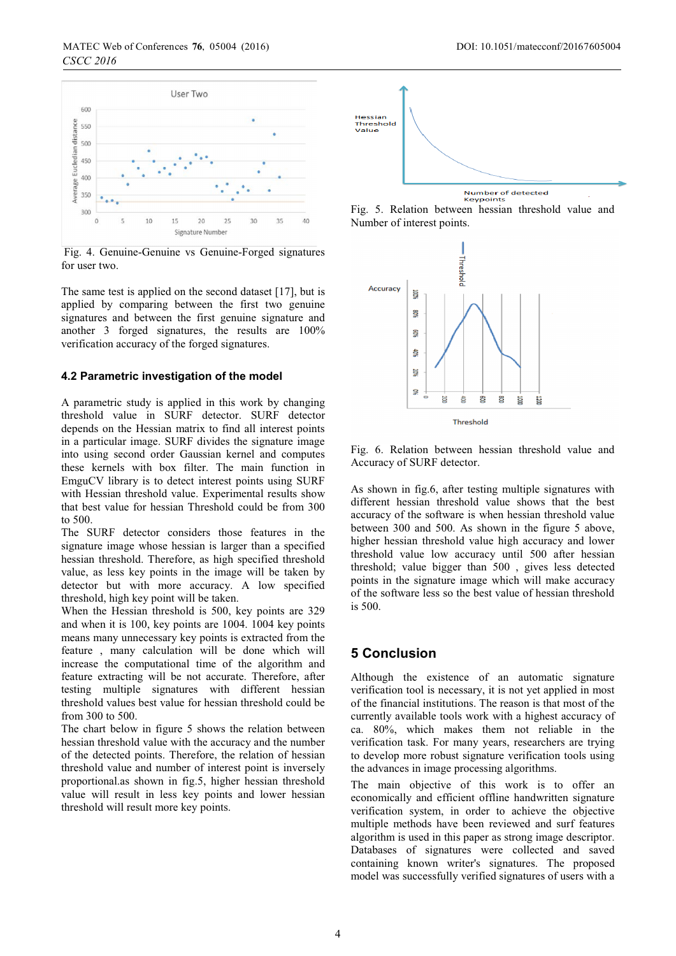

Fig. 4. Genuine-Genuine vs Genuine-Forged signatures for user two.

The same test is applied on the second dataset [17], but is applied by comparing between the first two genuine signatures and between the first genuine signature and another 3 forged signatures, the results are 100% verification accuracy of the forged signatures.

#### **4.2 Parametric investigation of the model**

A parametric study is applied in this work by changing threshold value in SURF detector. SURF detector depends on the Hessian matrix to find all interest points in a particular image. SURF divides the signature image into using second order Gaussian kernel and computes these kernels with box filter. The main function in EmguCV library is to detect interest points using SURF with Hessian threshold value. Experimental results show that best value for hessian Threshold could be from 300 to 500.

The SURF detector considers those features in the signature image whose hessian is larger than a specified hessian threshold. Therefore, as high specified threshold value, as less key points in the image will be taken by detector but with more accuracy. A low specified threshold, high key point will be taken.

When the Hessian threshold is 500, key points are 329 and when it is 100, key points are 1004. 1004 key points means many unnecessary key points is extracted from the feature , many calculation will be done which will increase the computational time of the algorithm and feature extracting will be not accurate. Therefore, after testing multiple signatures with different hessian threshold values best value for hessian threshold could be from 300 to 500.

The chart below in figure 5 shows the relation between hessian threshold value with the accuracy and the number of the detected points. Therefore, the relation of hessian threshold value and number of interest point is inversely proportional.as shown in fig.5, higher hessian threshold value will result in less key points and lower hessian threshold will result more key points.



Fig. 5. Relation between hessian threshold value and Number of interest points.



Fig. 6. Relation between hessian threshold value and Accuracy of SURF detector.

As shown in fig.6, after testing multiple signatures with different hessian threshold value shows that the best accuracy of the software is when hessian threshold value between 300 and 500. As shown in the figure 5 above, higher hessian threshold value high accuracy and lower threshold value low accuracy until 500 after hessian threshold; value bigger than 500 , gives less detected points in the signature image which will make accuracy of the software less so the best value of hessian threshold is 500.

#### **5 Conclusion**

Although the existence of an automatic signature verification tool is necessary, it is not yet applied in most of the financial institutions. The reason is that most of the currently available tools work with a highest accuracy of ca. 80%, which makes them not reliable in the verification task. For many years, researchers are trying to develop more robust signature verification tools using the advances in image processing algorithms.

The main objective of this work is to offer an economically and efficient offline handwritten signature verification system, in order to achieve the objective multiple methods have been reviewed and surf features algorithm is used in this paper as strong image descriptor. Databases of signatures were collected and saved containing known writer's signatures. The proposed model was successfully verified signatures of users with a